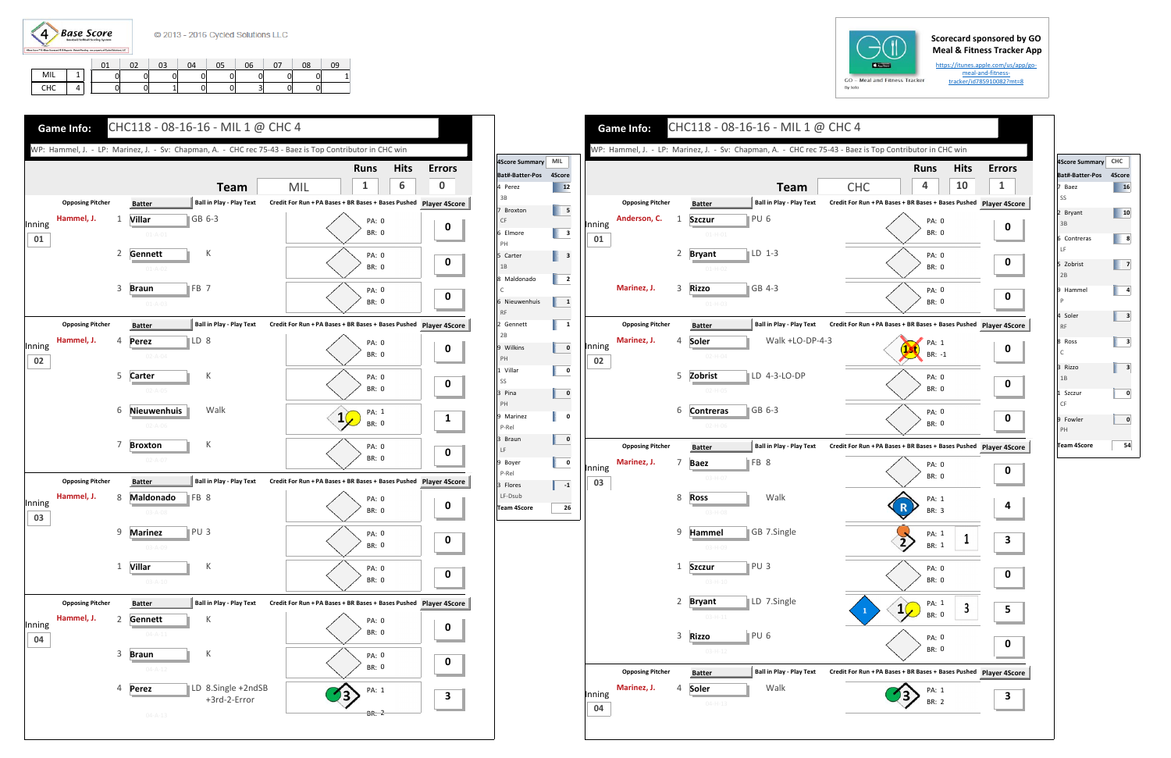

## **Scorecard sponsored by GO Meal & Fitness Tracker App**

https://itunes.apple.com/us/app/go‐ meal-and-fitnesstracker/id785910082?mt=8

|     |  | 01 | o٦ | 03 | 04 | 05 | 06 | 08 | ገ9 |
|-----|--|----|----|----|----|----|----|----|----|
| MIL |  |    |    |    |    |    |    |    |    |
| CHC |  |    |    |    |    |    | ັ  |    |    |





**Team**

Walk +LO‐DP‐4‐3

r ∥PU 6

 $\bullet$   $\parallel$  GB 4-3

4 **Soler** 

5 **Zobrist**



6 **Contreras**

FB 8

r PU3

**o** TPU 6

8 **Ross**

Walk

LD 7.Single

9 **Hammel**

1 **Szczur**

3 **Rizzo**

**ILD 1-3** 

t ∥LD 4-3-LO-DP

Walk

**s** ∥GB 6-3

| 4Score Summary CHC       |        |
|--------------------------|--------|
| Bat#-Batter-Pos          | 4Score |
| 7 Baez<br>SS             | 16     |
| 2 Bryant<br>3B           | 10     |
| 6 Contreras<br>LF        | 8      |
| 5 Zobrist<br>2B          | 7      |
| 9 Hammel<br>$\mathsf{P}$ | 4      |
| 4 Soler<br><b>RF</b>     | 3      |
| 8 Ross<br>C              | 3      |
| 3 Rizzo<br>1B            | 3      |
| 1 Szczur<br>CF           | 0      |
| 9 Fowler<br>PH           | 0      |
| <b>Team 4Score</b>       | 54     |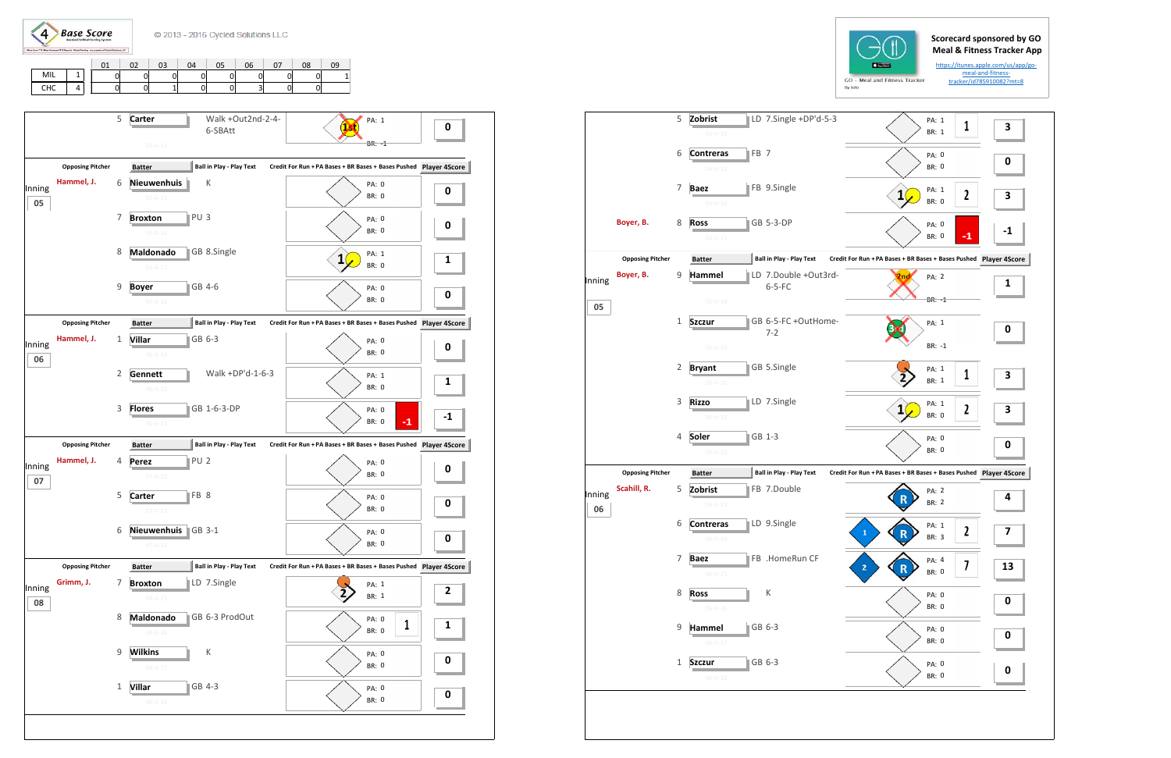$\left(4\right)$ **Base Score** 

C 2013 - 2016 Cycled Solutions LLC

## **Scorecard sponsored by GO Meal & Fitness Tracker App**

https://itunes.apple.com/us/app/go‐ meal-and-fitnesstracker/id785910082?mt=8

|          |   |   | $\sim$ | 03 | 04 |   | 06 | 08 | 09 |
|----------|---|---|--------|----|----|---|----|----|----|
| MIL      | × | ⌒ |        |    |    |   |    |    |    |
| rur<br>ᇅ |   | ⌒ | U.     |    | J. | U | э  |    |    |

|        |                         |                |                                   |                                  | <b>BARRING</b><br>GO - Meal and Fitness Tracker<br>By Iolo    |                       |                  | https://itunes.apple.com/u<br>meal-and-fitness-<br>tracker/id785910082? |
|--------|-------------------------|----------------|-----------------------------------|----------------------------------|---------------------------------------------------------------|-----------------------|------------------|-------------------------------------------------------------------------|
|        |                         | 5              | Zobrist<br>$04 - H - 14$          | LD 7.Single +DP'd-5-3            |                                                               | PA: 1<br>BR: 1        | 1                | 3                                                                       |
|        |                         | 6              | <b>Contreras</b><br>$04 - H - 15$ | FB <sub>7</sub>                  |                                                               | PA: 0<br><b>BR: 0</b> |                  | 0                                                                       |
|        |                         | 7              | Baez<br>$04 - H - 16$             | FB 9.Single                      | ${\bf 1}$                                                     | PA: 1<br><b>BR: 0</b> | 2                | З                                                                       |
|        | Boyer, B.               | 8              | <b>Ross</b><br>$04-H-17$          | GB 5-3-DP                        |                                                               | PA: 0<br><b>BR: 0</b> | $-1$             |                                                                         |
|        | <b>Opposing Pitcher</b> |                | <b>Batter</b>                     | <b>Ball in Play - Play Text</b>  | Credit For Run + PA Bases + BR Bases + Bases Pushed Player 49 |                       |                  |                                                                         |
| Inning | Boyer, B.               | 9              | Hammel                            | LD 7.Double +Out3rd-<br>$6-5-FC$ | 2ng                                                           | PA: 2                 |                  | 1                                                                       |
| 05     |                         | $\mathbf{1}$   | $05-H-18$                         | GB 6-5-FC +OutHome-              |                                                               | $BR: -1$              |                  |                                                                         |
|        |                         |                | <b>Szczur</b><br>$05-H-19$        | $7 - 2$                          |                                                               | PA: 1<br>BR: -1       |                  | 0                                                                       |
|        |                         | $\overline{2}$ | <b>Bryant</b>                     | GB 5.Single                      |                                                               | PA: 1<br><b>BR: 1</b> | 1                | 3                                                                       |
|        |                         | 3              | $05 - H - 20$<br><b>Rizzo</b>     | LD 7.Single                      | 1                                                             | PA: 1                 | $\boldsymbol{2}$ | З                                                                       |
|        |                         | 4              | $05 - H - 21$<br>Soler            | GB 1-3                           |                                                               | <b>BR: 0</b><br>PA: 0 |                  | 0                                                                       |
|        | <b>Opposing Pitcher</b> |                | $05-H-22$                         | <b>Ball in Play - Play Text</b>  | Credit For Run + PA Bases + BR Bases + Bases Pushed Player 49 | <b>BR: 0</b>          |                  |                                                                         |
| Inning | Scahill, R.             | 5              | <b>Batter</b><br>Zobrist          | FB 7.Double                      |                                                               | PA: 2                 |                  | 4                                                                       |
| 06     |                         | 6              | $06-H-23$<br><b>Contreras</b>     | LD 9.Single                      |                                                               | BR: 2                 |                  |                                                                         |
|        |                         |                | $06-H-24$                         |                                  | $\mathbf 1$<br>R                                              | PA: 1<br>BR: 3        | $\mathbf{2}$     | 7                                                                       |
|        |                         | 7              | <b>Baez</b><br>$06-H-25$          | FB .HomeRun CF                   | 2<br>R                                                        | PA: 4<br>BR: 0        | 7                | $\mathbf{1}$                                                            |
|        |                         | 8              | <b>Ross</b><br>$06-H-26$          | К                                |                                                               | PA: 0<br>BR: 0        |                  | 0                                                                       |
|        |                         | 9              | Hammel<br>$06-H-27$               | GB 6-3                           |                                                               | PA: 0<br>BR: 0        |                  | 0                                                                       |
|        |                         | 1              | <b>Szczur</b><br>$06-H-28$        | GB 6-3                           |                                                               | PA: 0<br>BR: 0        |                  | 0                                                                       |
|        |                         |                |                                   |                                  |                                                               |                       |                  |                                                                         |





 Inning **06**